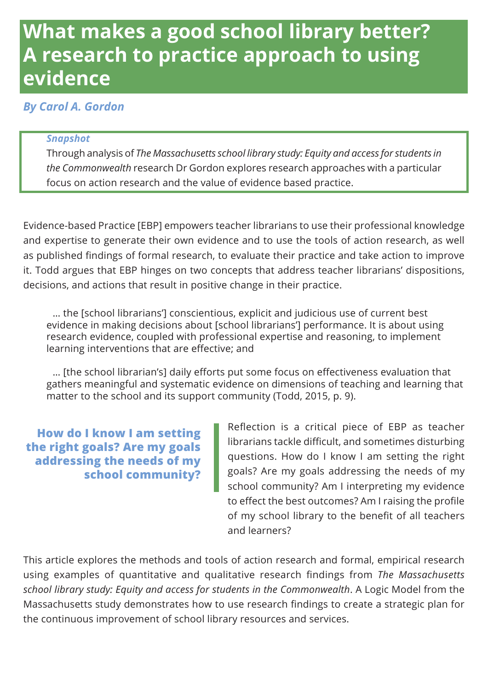# **What makes a good school library better? A research to practice approach to using evidence**

#### *By Carol A. Gordon*

#### *Snapshot*

Through analysis of *The Massachusetts school library study: Equity and access for students in the Commonwealth* research Dr Gordon explores research approaches with a particular focus on action research and the value of evidence based practice.

Evidence-based Practice [EBP] empowers teacher librarians to use their professional knowledge and expertise to generate their own evidence and to use the tools of action research, as well as published findings of formal research, to evaluate their practice and take action to improve it. Todd argues that EBP hinges on two concepts that address teacher librarians' dispositions, decisions, and actions that result in positive change in their practice.

… the [school librarians'] conscientious, explicit and judicious use of current best evidence in making decisions about [school librarians'] performance. It is about using research evidence, coupled with professional expertise and reasoning, to implement learning interventions that are effective; and

… [the school librarian's] daily efforts put some focus on effectiveness evaluation that gathers meaningful and systematic evidence on dimensions of teaching and learning that matter to the school and its support community (Todd, 2015, p. 9).

**How do I know I am setting the right goals? Are my goals addressing the needs of my school community?**  Reflection is a critical piece of EBP as teacher librarians tackle difficult, and sometimes disturbing questions. How do I know I am setting the right goals? Are my goals addressing the needs of my school community? Am I interpreting my evidence to effect the best outcomes? Am I raising the profile of my school library to the benefit of all teachers and learners?

This article explores the methods and tools of action research and formal, empirical research using examples of quantitative and qualitative research findings from *The Massachusetts school library study: Equity and access for students in the Commonwealth*. A Logic Model from the Massachusetts study demonstrates how to use research findings to create a strategic plan for the continuous improvement of school library resources and services.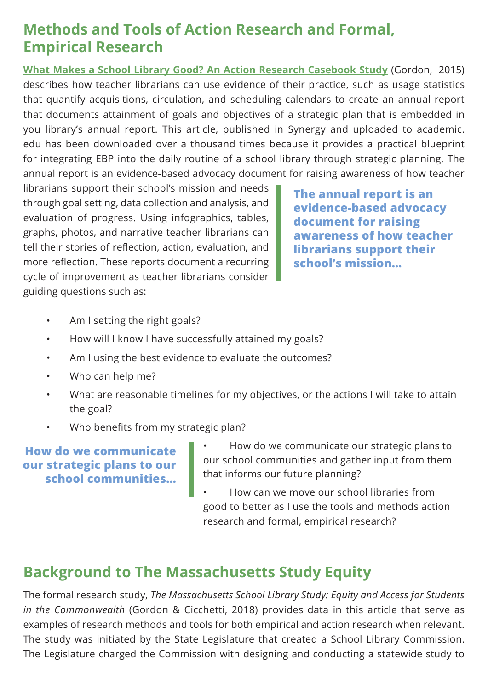## **Methods and Tools of Action Research and Formal, Empirical Research**

**[What Makes a School Library Good? An Action Research Casebook Study](https://slav.vic.edu.au/index.php/Synergy/issue/view/V13215)** (Gordon, 2015) describes how teacher librarians can use evidence of their practice, such as usage statistics that quantify acquisitions, circulation, and scheduling calendars to create an annual report that documents attainment of goals and objectives of a strategic plan that is embedded in you library's annual report. This article, published in Synergy and uploaded to academic. edu has been downloaded over a thousand times because it provides a practical blueprint for integrating EBP into the daily routine of a school library through strategic planning. The annual report is an evidence-based advocacy document for raising awareness of how teacher

librarians support their school's mission and needs through goal setting, data collection and analysis, and evaluation of progress. Using infographics, tables, graphs, photos, and narrative teacher librarians can tell their stories of reflection, action, evaluation, and more reflection. These reports document a recurring cycle of improvement as teacher librarians consider guiding questions such as:

**The annual report is an evidence-based advocacy document for raising awareness of how teacher librarians support their school's mission…**

- Am I setting the right goals?
- How will I know I have successfully attained my goals?
- Am I using the best evidence to evaluate the outcomes?
- Who can help me?
- What are reasonable timelines for my objectives, or the actions I will take to attain the goal?
- Who benefits from my strategic plan?

**How do we communicate our strategic plans to our school communities…**

- How do we communicate our strategic plans to our school communities and gather input from them that informs our future planning?
- How can we move our school libraries from good to better as I use the tools and methods action research and formal, empirical research?

# **Background to The Massachusetts Study Equity**

The formal research study, *The Massachusetts School Library Study: Equity and Access for Students in the Commonwealth* (Gordon & Cicchetti, 2018) provides data in this article that serve as examples of research methods and tools for both empirical and action research when relevant. The study was initiated by the State Legislature that created a School Library Commission. The Legislature charged the Commission with designing and conducting a statewide study to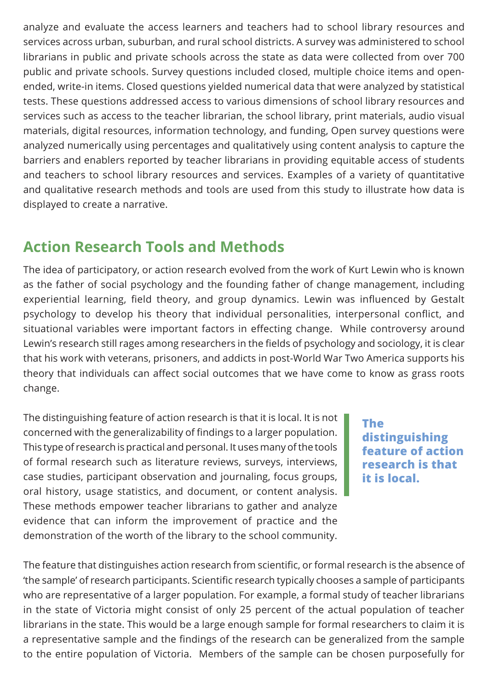analyze and evaluate the access learners and teachers had to school library resources and services across urban, suburban, and rural school districts. A survey was administered to school librarians in public and private schools across the state as data were collected from over 700 public and private schools. Survey questions included closed, multiple choice items and openended, write-in items. Closed questions yielded numerical data that were analyzed by statistical tests. These questions addressed access to various dimensions of school library resources and services such as access to the teacher librarian, the school library, print materials, audio visual materials, digital resources, information technology, and funding, Open survey questions were analyzed numerically using percentages and qualitatively using content analysis to capture the barriers and enablers reported by teacher librarians in providing equitable access of students and teachers to school library resources and services. Examples of a variety of quantitative and qualitative research methods and tools are used from this study to illustrate how data is displayed to create a narrative.

### **Action Research Tools and Methods**

The idea of participatory, or action research evolved from the work of Kurt Lewin who is known as the father of social psychology and the founding father of change management, including experiential learning, field theory, and group dynamics. Lewin was influenced by Gestalt psychology to develop his theory that individual personalities, interpersonal conflict, and situational variables were important factors in effecting change. While controversy around Lewin's research still rages among researchers in the fields of psychology and sociology, it is clear that his work with veterans, prisoners, and addicts in post-World War Two America supports his theory that individuals can affect social outcomes that we have come to know as grass roots change.

The distinguishing feature of action research is that it is local. It is not concerned with the generalizability of findings to a larger population. This type of research is practical and personal. It uses many of the tools of formal research such as literature reviews, surveys, interviews, case studies, participant observation and journaling, focus groups, oral history, usage statistics, and document, or content analysis. These methods empower teacher librarians to gather and analyze evidence that can inform the improvement of practice and the demonstration of the worth of the library to the school community.

**The distinguishing feature of action research is that it is local.**

The feature that distinguishes action research from scientific, or formal research is the absence of 'the sample' of research participants. Scientific research typically chooses a sample of participants who are representative of a larger population. For example, a formal study of teacher librarians in the state of Victoria might consist of only 25 percent of the actual population of teacher librarians in the state. This would be a large enough sample for formal researchers to claim it is a representative sample and the findings of the research can be generalized from the sample to the entire population of Victoria. Members of the sample can be chosen purposefully for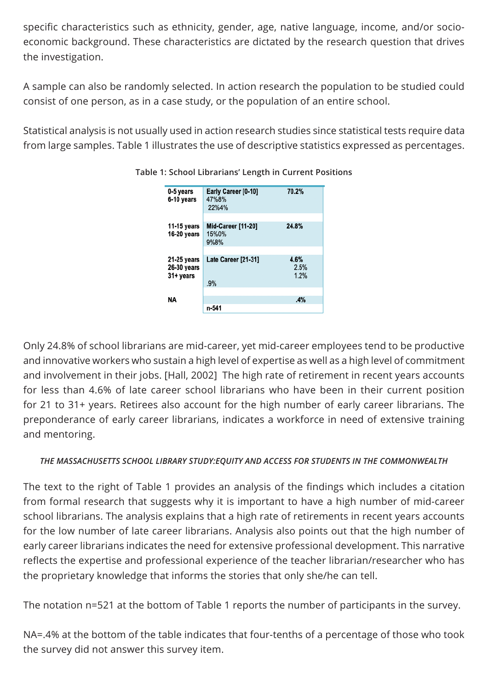specific characteristics such as ethnicity, gender, age, native language, income, and/or socioeconomic background. These characteristics are dictated by the research question that drives the investigation.

A sample can also be randomly selected. In action research the population to be studied could consist of one person, as in a case study, or the population of an entire school.

Statistical analysis is not usually used in action research studies since statistical tests require data from large samples. Table 1 illustrates the use of descriptive statistics expressed as percentages.

| 0-5 years<br>6-10 years                 | Early Career [0-10]<br>47%8%<br>22%4%      | 70.2%                |
|-----------------------------------------|--------------------------------------------|----------------------|
| 11-15 years<br>16-20 years              | <b>Mid-Career [11-20]</b><br>15%0%<br>9%8% | 24.8%                |
| 21-25 years<br>26-30 years<br>31+ years | Late Career [21-31]<br>.9%                 | 4.6%<br>2.5%<br>1.2% |
| NA                                      | n-541                                      | .4%                  |

#### **Table 1: School Librarians' Length in Current Positions**

Only 24.8% of school librarians are mid-career, yet mid-career employees tend to be productive and innovative workers who sustain a high level of expertise as well as a high level of commitment and involvement in their jobs. [Hall, 2002] The high rate of retirement in recent years accounts for less than 4.6% of late career school librarians who have been in their current position for 21 to 31+ years. Retirees also account for the high number of early career librarians. The preponderance of early career librarians, indicates a workforce in need of extensive training and mentoring.

#### *THE MASSACHUSETTS SCHOOL LIBRARY STUDY:EQUITY AND ACCESS FOR STUDENTS IN THE COMMONWEALTH*

The text to the right of Table 1 provides an analysis of the findings which includes a citation from formal research that suggests why it is important to have a high number of mid-career school librarians. The analysis explains that a high rate of retirements in recent years accounts for the low number of late career librarians. Analysis also points out that the high number of early career librarians indicates the need for extensive professional development. This narrative reflects the expertise and professional experience of the teacher librarian/researcher who has the proprietary knowledge that informs the stories that only she/he can tell.

The notation n=521 at the bottom of Table 1 reports the number of participants in the survey.

NA=.4% at the bottom of the table indicates that four-tenths of a percentage of those who took the survey did not answer this survey item.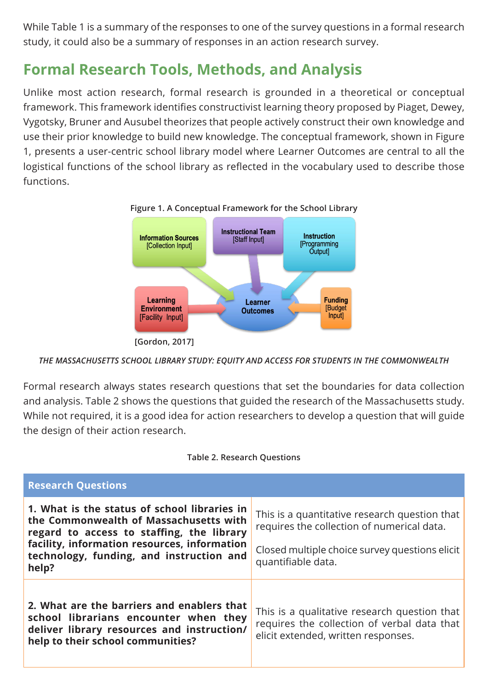While Table 1 is a summary of the responses to one of the survey questions in a formal research study, it could also be a summary of responses in an action research survey.

# **Formal Research Tools, Methods, and Analysis**

Unlike most action research, formal research is grounded in a theoretical or conceptual framework. This framework identifies constructivist learning theory proposed by Piaget, Dewey, Vygotsky, Bruner and Ausubel theorizes that people actively construct their own knowledge and use their prior knowledge to build new knowledge. The conceptual framework, shown in Figure 1, presents a user-centric school library model where Learner Outcomes are central to all the logistical functions of the school library as reflected in the vocabulary used to describe those functions.



*THE MASSACHUSETTS SCHOOL LIBRARY STUDY: EQUITY AND ACCESS FOR STUDENTS IN THE COMMONWEALTH*

Formal research always states research questions that set the boundaries for data collection and analysis. Table 2 shows the questions that guided the research of the Massachusetts study. While not required, it is a good idea for action researchers to develop a question that will guide the design of their action research.

| <b>Research Questions</b>                                                                                                                                                                                                                |                                                                                                                                                                     |
|------------------------------------------------------------------------------------------------------------------------------------------------------------------------------------------------------------------------------------------|---------------------------------------------------------------------------------------------------------------------------------------------------------------------|
| 1. What is the status of school libraries in<br>the Commonwealth of Massachusetts with<br>regard to access to staffing, the library<br>facility, information resources, information<br>technology, funding, and instruction and<br>help? | This is a quantitative research question that<br>requires the collection of numerical data.<br>Closed multiple choice survey questions elicit<br>quantifiable data. |
| 2. What are the barriers and enablers that<br>school librarians encounter when they<br>deliver library resources and instruction/<br>help to their school communities?                                                                   | This is a qualitative research question that<br>requires the collection of verbal data that<br>elicit extended, written responses.                                  |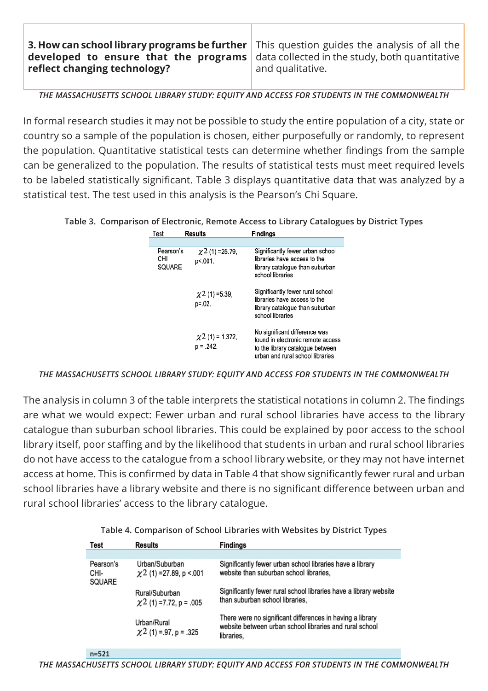**3. How can school library programs be further developed to ensure that the programs reflect changing technology?**

This question guides the analysis of all the data collected in the study, both quantitative and qualitative.

*THE MASSACHUSETTS SCHOOL LIBRARY STUDY: EQUITY AND ACCESS FOR STUDENTS IN THE COMMONWEALTH*

In formal research studies it may not be possible to study the entire population of a city, state or country so a sample of the population is chosen, either purposefully or randomly, to represent the population. Quantitative statistical tests can determine whether findings from the sample can be generalized to the population. The results of statistical tests must meet required levels to be labeled statistically significant. Table 3 displays quantitative data that was analyzed by a statistical test. The test used in this analysis is the Pearson's Chi Square.

**Table 3. Comparison of Electronic, Remote Access to Library Catalogues by District Types**

| <b>Fest</b>                | Results                              | <b>Findings</b>                                                                                                                            |
|----------------------------|--------------------------------------|--------------------------------------------------------------------------------------------------------------------------------------------|
|                            |                                      |                                                                                                                                            |
| Pearson's<br>CНI<br>SQUARE | $\chi$ 2 (1) = 25.79,<br>p<.001.     | Significantly fewer urban school<br>libraries have access to the<br>library catalogue than suburban<br>school libraries                    |
|                            | $\chi$ 2 (1) =5.39,<br>p=.02.        | Significantly fewer rural school<br>libraries have access to the<br>library catalogue than suburban<br>school libraries                    |
|                            | $\chi$ 2 (1) = 1.372,<br>$p = .242.$ | No significant difference was<br>found in electronic remote access<br>to the library catalogue between<br>urban and rural school libraries |

*THE MASSACHUSETTS SCHOOL LIBRARY STUDY: EQUITY AND ACCESS FOR STUDENTS IN THE COMMONWEALTH*

The analysis in column 3 of the table interprets the statistical notations in column 2. The findings are what we would expect: Fewer urban and rural school libraries have access to the library catalogue than suburban school libraries. This could be explained by poor access to the school library itself, poor staffing and by the likelihood that students in urban and rural school libraries do not have access to the catalogue from a school library website, or they may not have internet access at home. This is confirmed by data in Table 4 that show significantly fewer rural and urban school libraries have a library website and there is no significant difference between urban and rural school libraries' access to the library catalogue.

|     |                 | Table 4. Comparison of School Libraries with Websites by District Types |
|-----|-----------------|-------------------------------------------------------------------------|
| --- | <b>D</b> ------ | <b>Fig. 4</b> is a set                                                  |

| Test                        | Results                                                   | <b>Findings</b>                                                                                                                    |
|-----------------------------|-----------------------------------------------------------|------------------------------------------------------------------------------------------------------------------------------------|
|                             |                                                           |                                                                                                                                    |
| Pearson's<br>CHI-<br>SQUARE | Urban/Suburban<br>$\chi$ 2 (1) = 27.89, p < 001           | Significantly fewer urban school libraries have a library<br>website than suburban school libraries,                               |
|                             | Rural/Suburban<br>$\chi$ <sup>2</sup> (1) =7.72, p = .005 | Significantly fewer rural school libraries have a library website<br>than suburban school libraries,                               |
|                             | Urban/Rural<br>$\chi$ <sup>2</sup> (1) = .97, p = .325    | There were no significant differences in having a library<br>website between urban school libraries and rural school<br>libraries. |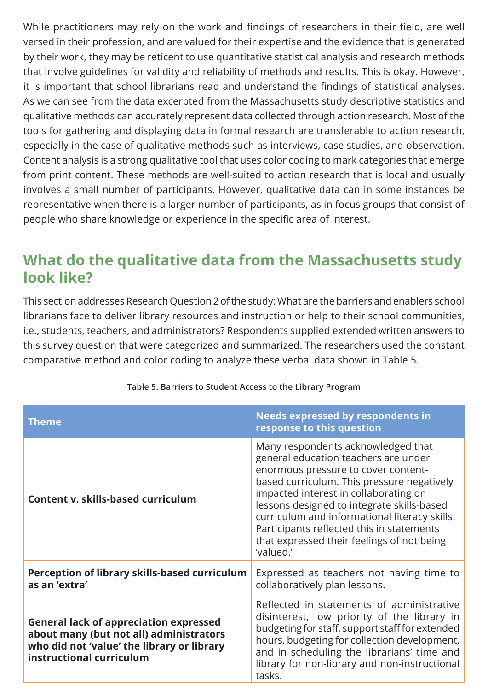While practitioners may rely on the work and findings of researchers in their field, are well versed in their profession, and are valued for their expertise and the evidence that is generated by their work, they may be reticent to use quantitative statistical analysis and research methods that involve guidelines for validity and reliability of methods and results. This is okay. However, it is important that school librarians read and understand the findings of statistical analyses. As we can see from the data excerpted from the Massachusetts study descriptive statistics and qualitative methods can accurately represent data collected through action research. Most of the tools for gathering and displaying data in formal research are transferable to action research, especially in the case of qualitative methods such as interviews, case studies, and observation. Content analysis is a strong qualitative tool that uses color coding to mark categories that emerge from print content. These methods are well-suited to action research that is local and usually involves a small number of participants. However, qualitative data can in some instances be representative when there is a larger number of participants, as in focus groups that consist of people who share knowledge or experience in the specific area of interest.

### **What do the qualitative data from the Massachusetts study look like?**

This section addresses Research Question 2 of the study: What are the barriers and enablers school librarians face to deliver library resources and instruction or help to their school communities, i.e., students, teachers, and administrators? Respondents supplied extended written answers to this survey question that were categorized and summarized. The researchers used the constant comparative method and color coding to analyze these verbal data shown in Table 5.

| <b>Theme</b>                                                                                                                                                       | <b>Needs expressed by respondents in</b><br>response to this question                                                                                                                                                                                                                                                                                                                                           |
|--------------------------------------------------------------------------------------------------------------------------------------------------------------------|-----------------------------------------------------------------------------------------------------------------------------------------------------------------------------------------------------------------------------------------------------------------------------------------------------------------------------------------------------------------------------------------------------------------|
| Content v. skills-based curriculum                                                                                                                                 | Many respondents acknowledged that<br>general education teachers are under<br>enormous pressure to cover content-<br>based curriculum. This pressure negatively<br>impacted interest in collaborating on<br>lessons designed to integrate skills-based<br>curriculum and informational literacy skills.<br>Participants reflected this in statements<br>that expressed their feelings of not being<br>'valued.' |
| Perception of library skills-based curriculum<br>as an 'extra'                                                                                                     | Expressed as teachers not having time to<br>collaboratively plan lessons.                                                                                                                                                                                                                                                                                                                                       |
| <b>General lack of appreciation expressed</b><br>about many (but not all) administrators<br>who did not 'value' the library or library<br>instructional curriculum | Reflected in statements of administrative<br>disinterest, low priority of the library in<br>budgeting for staff, support staff for extended<br>hours, budgeting for collection development,<br>and in scheduling the librarians' time and<br>library for non-library and non-instructional<br>tasks.                                                                                                            |

**Table 5. Barriers to Student Access to the Library Program**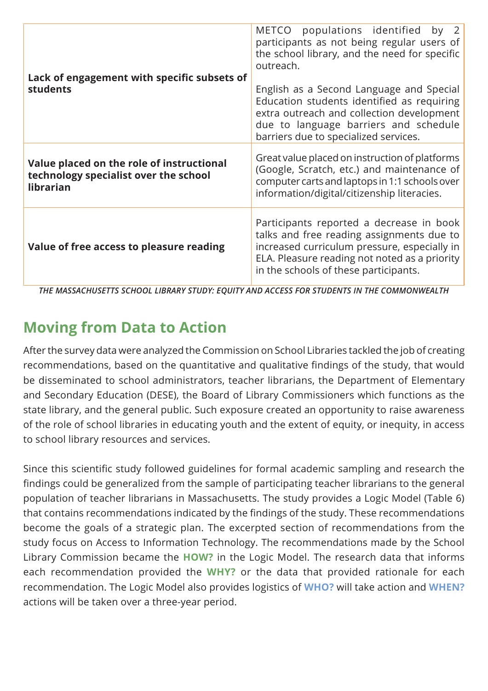| Lack of engagement with specific subsets of<br><b>students</b>                                  | METCO populations identified<br>by<br>participants as not being regular users of<br>the school library, and the need for specific<br>outreach.<br>English as a Second Language and Special<br>Education students identified as requiring<br>extra outreach and collection development<br>due to language barriers and schedule<br>barriers due to specialized services. |
|-------------------------------------------------------------------------------------------------|-------------------------------------------------------------------------------------------------------------------------------------------------------------------------------------------------------------------------------------------------------------------------------------------------------------------------------------------------------------------------|
| Value placed on the role of instructional<br>technology specialist over the school<br>librarian | Great value placed on instruction of platforms<br>(Google, Scratch, etc.) and maintenance of<br>computer carts and laptops in 1:1 schools over<br>information/digital/citizenship literacies.                                                                                                                                                                           |
| Value of free access to pleasure reading                                                        | Participants reported a decrease in book<br>talks and free reading assignments due to<br>increased curriculum pressure, especially in<br>ELA. Pleasure reading not noted as a priority<br>in the schools of these participants.                                                                                                                                         |

*THE MASSACHUSETTS SCHOOL LIBRARY STUDY: EQUITY AND ACCESS FOR STUDENTS IN THE COMMONWEALTH*

# **Moving from Data to Action**

After the survey data were analyzed the Commission on School Libraries tackled the job of creating recommendations, based on the quantitative and qualitative findings of the study, that would be disseminated to school administrators, teacher librarians, the Department of Elementary and Secondary Education (DESE), the Board of Library Commissioners which functions as the state library, and the general public. Such exposure created an opportunity to raise awareness of the role of school libraries in educating youth and the extent of equity, or inequity, in access to school library resources and services.

Since this scientific study followed guidelines for formal academic sampling and research the findings could be generalized from the sample of participating teacher librarians to the general population of teacher librarians in Massachusetts. The study provides a Logic Model (Table 6) that contains recommendations indicated by the findings of the study. These recommendations become the goals of a strategic plan. The excerpted section of recommendations from the study focus on Access to Information Technology. The recommendations made by the School Library Commission became the **HOW?** in the Logic Model. The research data that informs each recommendation provided the **WHY?** or the data that provided rationale for each recommendation. The Logic Model also provides logistics of **WHO?** will take action and **WHEN?** actions will be taken over a three-year period.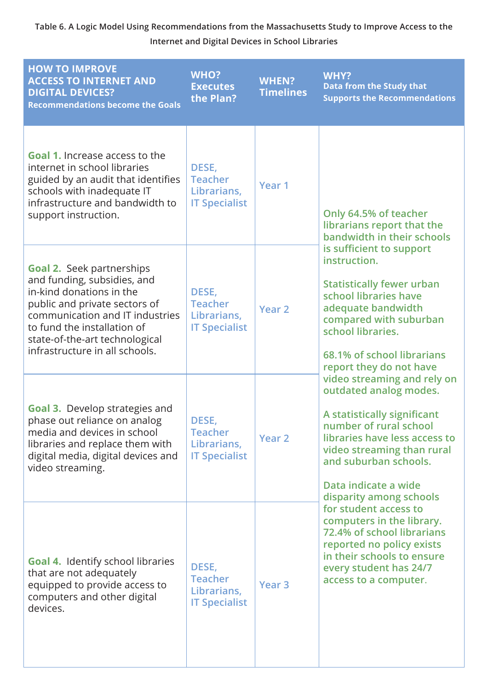#### **Table 6. A Logic Model Using Recommendations from the Massachusetts Study to Improve Access to the Internet and Digital Devices in School Libraries**

| <b>HOW TO IMPROVE</b><br><b>ACCESS TO INTERNET AND</b><br><b>DIGITAL DEVICES?</b><br><b>Recommendations become the Goals</b>                                                                                                                                       | <b>WHO?</b><br><b>Executes</b><br>the Plan?                    | <b>WHEN?</b><br><b>Timelines</b> | <b>WHY?</b><br><b>Data from the Study that</b><br><b>Supports the Recommendations</b>                                                                                                                                                                     |
|--------------------------------------------------------------------------------------------------------------------------------------------------------------------------------------------------------------------------------------------------------------------|----------------------------------------------------------------|----------------------------------|-----------------------------------------------------------------------------------------------------------------------------------------------------------------------------------------------------------------------------------------------------------|
| <b>Goal 1.</b> Increase access to the<br>internet in school libraries<br>guided by an audit that identifies<br>schools with inadequate IT<br>infrastructure and bandwidth to<br>support instruction.                                                               | DESE,<br><b>Teacher</b><br>Librarians,<br><b>IT Specialist</b> | Year <sub>1</sub>                | Only 64.5% of teacher<br>librarians report that the<br>bandwidth in their schools                                                                                                                                                                         |
| <b>Goal 2. Seek partnerships</b><br>and funding, subsidies, and<br>in-kind donations in the<br>public and private sectors of<br>communication and IT industries<br>to fund the installation of<br>state-of-the-art technological<br>infrastructure in all schools. | DESE,<br><b>Teacher</b><br>Librarians,<br><b>IT Specialist</b> | Year <sub>2</sub>                | is sufficient to support<br>instruction.<br><b>Statistically fewer urban</b><br>school libraries have<br>adequate bandwidth<br>compared with suburban<br>school libraries.<br>68.1% of school librarians<br>report they do not have                       |
| <b>Goal 3.</b> Develop strategies and<br>phase out reliance on analog<br>media and devices in school<br>libraries and replace them with<br>digital media, digital devices and<br>video streaming.                                                                  | DESE,<br><b>Teacher</b><br>Librarians,<br><b>IT Specialist</b> | <b>Year 2</b>                    | video streaming and rely on<br>outdated analog modes.<br>A statistically significant<br>number of rural school<br>libraries have less access to<br>video streaming than rural<br>and suburban schools.<br>Data indicate a wide<br>disparity among schools |
| <b>Goal 4. Identify school libraries</b><br>that are not adequately<br>equipped to provide access to<br>computers and other digital<br>devices.                                                                                                                    | DESE,<br><b>Teacher</b><br>Librarians,<br><b>IT Specialist</b> | Year <sub>3</sub>                | for student access to<br>computers in the library.<br>72.4% of school librarians<br>reported no policy exists<br>in their schools to ensure<br>every student has 24/7<br>access to a computer.                                                            |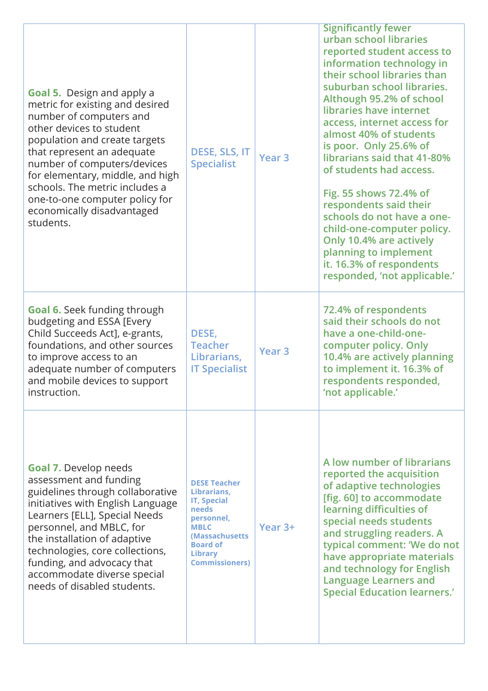| <b>Goal 5.</b> Design and apply a<br>metric for existing and desired<br>number of computers and<br>other devices to student<br>population and create targets<br>that represent an adequate<br>number of computers/devices<br>for elementary, middle, and high<br>schools. The metric includes a<br>one-to-one computer policy for<br>economically disadvantaged<br>students. | DESE, SLS, IT<br><b>Specialist</b>                                                                                                                                                    | Year <sub>3</sub> | <b>Significantly fewer</b><br>urban school libraries<br>reported student access to<br>information technology in<br>their school libraries than<br>suburban school libraries.<br>Although 95.2% of school<br>libraries have internet<br>access, internet access for<br>almost 40% of students<br>is poor. Only 25.6% of<br>librarians said that 41-80%<br>of students had access.<br>Fig. 55 shows 72.4% of<br>respondents said their<br>schools do not have a one-<br>child-one-computer policy.<br>Only 10.4% are actively<br>planning to implement<br>it. 16.3% of respondents<br>responded, 'not applicable.' |
|------------------------------------------------------------------------------------------------------------------------------------------------------------------------------------------------------------------------------------------------------------------------------------------------------------------------------------------------------------------------------|---------------------------------------------------------------------------------------------------------------------------------------------------------------------------------------|-------------------|------------------------------------------------------------------------------------------------------------------------------------------------------------------------------------------------------------------------------------------------------------------------------------------------------------------------------------------------------------------------------------------------------------------------------------------------------------------------------------------------------------------------------------------------------------------------------------------------------------------|
| Goal 6. Seek funding through<br>budgeting and ESSA [Every<br>Child Succeeds Act], e-grants,<br>foundations, and other sources<br>to improve access to an<br>adequate number of computers<br>and mobile devices to support<br>instruction.                                                                                                                                    | DESE,<br><b>Teacher</b><br>Librarians,<br><b>IT Specialist</b>                                                                                                                        | Year <sub>3</sub> | 72.4% of respondents<br>said their schools do not<br>have a one-child-one-<br>computer policy. Only<br>10.4% are actively planning<br>to implement it. 16.3% of<br>respondents responded,<br>'not applicable.'                                                                                                                                                                                                                                                                                                                                                                                                   |
| <b>Goal 7.</b> Develop needs<br>assessment and funding<br>guidelines through collaborative<br>initiatives with English Language<br>Learners [ELL], Special Needs<br>personnel, and MBLC, for<br>the installation of adaptive<br>technologies, core collections,<br>funding, and advocacy that<br>accommodate diverse special<br>needs of disabled students.                  | <b>DESE Teacher</b><br>Librarians,<br><b>IT, Special</b><br><b>needs</b><br>personnel,<br><b>MBLC</b><br>(Massachusetts<br><b>Board of</b><br><b>Library</b><br><b>Commissioners)</b> | Year 3+           | A low number of librarians<br>reported the acquisition<br>of adaptive technologies<br>[fig. 60] to accommodate<br>learning difficulties of<br>special needs students<br>and struggling readers. A<br>typical comment: 'We do not<br>have appropriate materials<br>and technology for English<br><b>Language Learners and</b><br><b>Special Education learners.'</b>                                                                                                                                                                                                                                              |